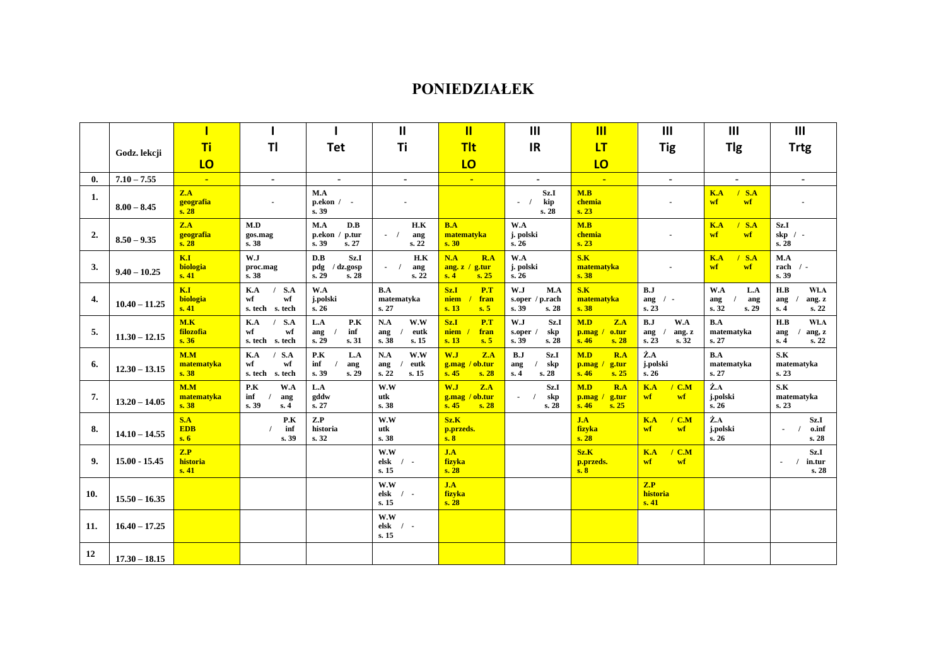## **PONIEDZIAŁEK**

|                |                 |                           |                                               |                                                   | $\mathbf{I}$                                | $\mathbf{II}$                                   | III                                            | $\overline{\mathsf{III}}$                    | III                                          | III                                               | III                                                    |
|----------------|-----------------|---------------------------|-----------------------------------------------|---------------------------------------------------|---------------------------------------------|-------------------------------------------------|------------------------------------------------|----------------------------------------------|----------------------------------------------|---------------------------------------------------|--------------------------------------------------------|
|                | Godz. lekcji    | Ti                        | T <sub>l</sub>                                | <b>Tet</b>                                        | Ti                                          | <b>Tit</b>                                      | <b>IR</b>                                      | <b>LT</b>                                    | <b>Tig</b>                                   | <b>Tlg</b>                                        | <b>Trtg</b>                                            |
|                |                 | LO                        |                                               |                                                   |                                             | LO                                              |                                                | LO                                           |                                              |                                                   |                                                        |
| $\mathbf{0}$ . | $7.10 - 7.55$   | $\mathbf{r}_\mathrm{eff}$ | $\sim$                                        | $\bullet$                                         | $\sim$                                      | $\mathbf{u}$                                    | $\sim$                                         | $\sim$                                       | $\sim$                                       | $\blacksquare$                                    | $\blacksquare$                                         |
| 1.             | $8.00 - 8.45$   | Z.A<br>geografia<br>s. 28 | $\blacksquare$                                | M.A<br>$p. ekon / -$<br>s. 39                     |                                             |                                                 | Sz.I<br>kip<br>$-1$<br>s. 28                   | M.B<br>chemia<br>s. 23                       | $\overline{\phantom{a}}$                     | K.A<br>$/$ S.A<br>wf<br>wf                        |                                                        |
| 2.             | $8.50 - 9.35$   | Z.A<br>geografia<br>s.28  | M.D<br>gos.mag<br>s. 38                       | M.A<br>D.B<br>p.ekon /<br>p.tur<br>s. 39<br>s. 27 | H.K<br>$-$ /<br>ang<br>s. 22                | B.A<br>matematyka<br>s.30                       | W.A<br>j. polski<br>s.26                       | M.B<br>chemia<br>s. 23                       |                                              | $/$ S.A<br>K.A<br>wf<br>wf                        | Sz.I<br>$skip / -$<br>s. 28                            |
| 3.             | $9.40 - 10.25$  | K.I<br>biologia<br>s.41   | W.J<br>proc.mag<br>s. 38                      | D.B<br>Sz.I<br>pdg<br>/ dz.gosp<br>s. 29<br>s.28  | H.K<br>$-1$<br>ang<br>s. 22                 | N.A<br>R.A<br>ang. $z / g$ .tur<br>s.4<br>s.25  | W.A<br>j. polski<br>s. 26                      | S.K<br>matematyka<br>s.38                    | $\blacksquare$                               | K.A<br>S.A<br>wf<br>wf                            | M.A<br>rach $/$ -<br>s. 39                             |
| 4.             | $10.40 - 11.25$ | K.I<br>biologia<br>s.41   | K.A<br>$/$ S.A<br>wf<br>wf<br>s. tech s. tech | W.A<br>j.polski<br>s. 26                          | B.A<br>matematyka<br>s. 27                  | Sz.1<br>P.T<br>niem<br>fran<br>s. 13<br>s.5     | W.J<br>M.A<br>s.oper / p.rach<br>s. 39<br>s.28 | S.K<br>matematyka<br>s.38                    | B.J<br>ang $/$ -<br>s. 23                    | W.A<br>L.A<br>ang<br>ang<br>s.32<br>s.29          | H.B<br>Wł.A<br>ang. z<br>ang<br>s. 22<br>s.4           |
| 5.             | $11.30 - 12.15$ | M.K<br>filozofia<br>s.36  | $/$ S.A<br>K.A<br>wf<br>wf<br>s. tech s. tech | L.A<br>P.K<br>inf<br>ang<br>s. 29<br>s. 31        | N.A<br>W.W<br>eutk<br>ang<br>s. 38<br>s. 15 | Sz.1<br>P.T<br>niem<br>fran<br>s. 13<br>s.5     | W.J<br>Sz.I<br>skp<br>s.oper<br>s. 39<br>s. 28 | M.D<br>Z.A<br>p.mag<br>o.tur<br>s.46<br>s.28 | B.J<br>W.A<br>ang. z<br>ang<br>s. 23<br>s.32 | B.A<br>matematyka<br>s. 27                        | H.B<br>WI.A<br>ang, z<br>ang<br>s. 22<br>s. 4          |
| 6.             | $12.30 - 13.15$ | M.M<br>matematyka<br>s.38 | S.A<br>K.A<br>wf<br>wf<br>s. tech s. tech     | P.K<br>L.A<br>inf<br>ang<br>s. 39<br>s. 29        | W.W<br>N.A<br>eutk<br>ang<br>s. 22<br>s.15  | W.J<br>Z.A<br>/ ob.tur<br>g.mag<br>s.45<br>s.28 | B.J<br>Sz.I<br>skp<br>ang<br>s.28<br>s.4       | M.D<br>R.A<br>p.mag<br>g.tur<br>s.46<br>s.25 | Ż.A<br>j.polski<br>s.26                      | B.A<br>matematyka<br>s. 27                        | S.K<br>matematyka<br>s. 23                             |
| 7.             | $13.20 - 14.05$ | M.M<br>matematyka<br>s.38 | P.K<br>W.A<br>inf<br>ang<br>s. 39<br>s.4      | L.A<br>gddw<br>s. 27                              | W.W<br>utk<br>s. 38                         | W.J<br>Z.A<br>/ ob.tur<br>g.mag<br>s.45<br>s.28 | Sz.I<br>skp<br>$\blacksquare$<br>s. 28         | M.D<br>R.A<br>g.tur<br>p.mag<br>s.46<br>s.25 | K.A<br>$/$ C.M<br>wf<br>wf                   | $\dot{\mathbf{Z}}.\mathbf{A}$<br>j.polski<br>s.26 | S.K<br>matematyka<br>s. 23                             |
| 8.             | $14.10 - 14.55$ | S.A<br><b>EDB</b><br>s.6  | P.K<br>inf<br>s. 39                           | Z.P<br>historia<br>s. 32                          | W.W<br>utk<br>s. 38                         | Sz.K<br>p.przeds.<br>s.8                        |                                                | J.A<br>fizyka<br>s. 28                       | K.A<br>$/$ C.M<br>wf<br>wf                   | $\dot{Z}$ .A<br>j.polski<br>s.26                  | Sz.1<br>o.inf<br>s.28                                  |
| 9.             | $15.00 - 15.45$ | Z.P<br>historia<br>s.41   |                                               |                                                   | W.W<br>elsk<br>$\prime$ -<br>s. 15          | J.A<br>fizyka<br>s.28                           |                                                | Sz.K<br>p.przeds.<br>s.8                     | K.A<br>$/$ C.M<br>wf<br>wf                   |                                                   | Sz.I<br>in.tur<br>$\blacksquare$<br>$\sqrt{ }$<br>s.28 |
| <b>10.</b>     | $15.50 - 16.35$ |                           |                                               |                                                   | W.W<br>elsk / $-$<br>s. 15                  | J.A<br>fizyka<br>s. 28                          |                                                |                                              | Z.P<br>historia<br>s.41                      |                                                   |                                                        |
| 11.            | $16.40 - 17.25$ |                           |                                               |                                                   | W.W<br>$elsk$ / -<br>s. 15                  |                                                 |                                                |                                              |                                              |                                                   |                                                        |
| 12             | $17.30 - 18.15$ |                           |                                               |                                                   |                                             |                                                 |                                                |                                              |                                              |                                                   |                                                        |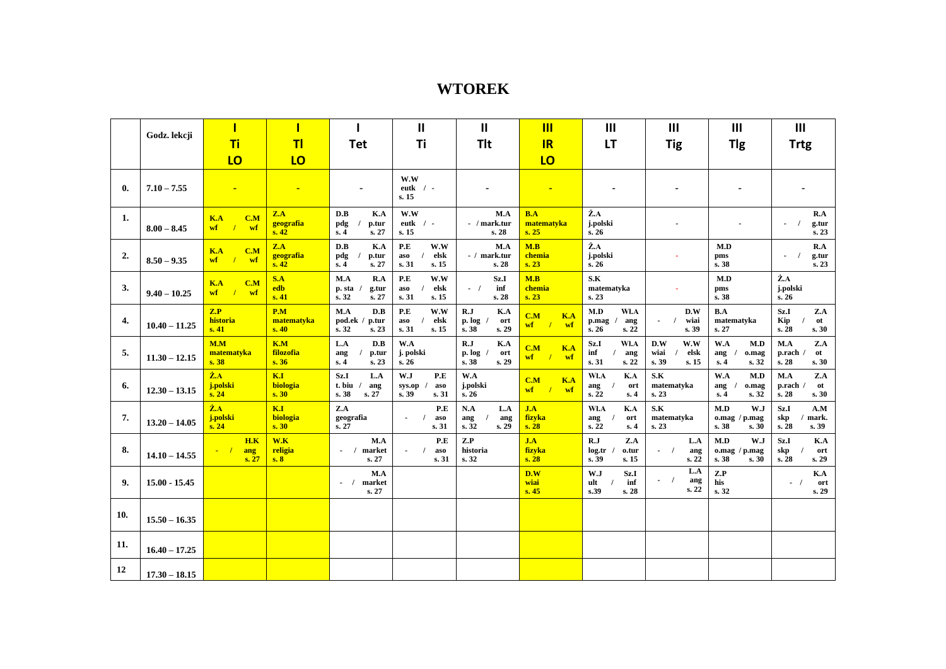## **WTOREK**

|     | Godz. lekcji    |                                                     |                           |                                                    | Ш                                                 | Ш                                             | $\mathbf{m}$                                             | $\mathbf{III}$                                  | $\mathbf{III}$                                                     | $\mathbf{III}$                                      | III                                           |
|-----|-----------------|-----------------------------------------------------|---------------------------|----------------------------------------------------|---------------------------------------------------|-----------------------------------------------|----------------------------------------------------------|-------------------------------------------------|--------------------------------------------------------------------|-----------------------------------------------------|-----------------------------------------------|
|     |                 | <b>Ti</b>                                           | T <sub>l</sub>            | <b>Tet</b>                                         | Ti                                                | <b>Tit</b>                                    | IR                                                       | <b>LT</b>                                       | <b>Tig</b>                                                         | <b>Tlg</b>                                          | <b>Trtg</b>                                   |
|     |                 | LO                                                  | LO                        |                                                    |                                                   |                                               | LO                                                       |                                                 |                                                                    |                                                     |                                               |
| 0.  | $7.10 - 7.55$   |                                                     | $\blacksquare$            |                                                    | W.W<br>eutk $/$ -<br>s. 15                        |                                               | $\blacksquare$                                           |                                                 |                                                                    |                                                     |                                               |
| 1.  | $8.00 - 8.45$   | K.A<br>C.M<br>$\mathbf{wf}$ /<br>wf                 | Z.A<br>geografia<br>s.42  | D.B<br>K.A<br>pdg<br>p.tur<br>s.4<br>s. 27         | W.W<br>eutk $/$ -<br>s. 15                        | M.A<br>- / mark.tur<br>s. 28                  | B.A<br>matematyka<br>s.25                                | $\dot{Z}$ .A<br>j.polski<br>s.26                |                                                                    |                                                     | R.A<br>$\sqrt{ }$<br>g.tur<br>s. 23           |
| 2.  | $8.50 - 9.35$   | K.A<br>C.M<br>$\mathbf{w}$ f<br>$\frac{1}{2}$<br>wf | Z.A<br>geografia<br>s.42  | D.B<br>K.A<br>pdg<br>p.tur<br>s.4<br>s. 27         | P.E<br>W.W<br>elsk<br>aso<br>s. 31<br>s. 15       | M.A<br>- / mark.tur<br>s. 28                  | M.B<br>chemia<br>s. 23                                   | Ż.A<br>j.polski<br>s.26                         |                                                                    | M.D<br>pms<br>s. 38                                 | R.A<br>g.tur<br>s. 23                         |
| 3.  | $9.40 - 10.25$  | K.A<br>C.M<br>$wf$ / $wf$                           | S.A<br>edb<br>s.41        | R.A<br>M.A<br>p. sta<br>g.tur<br>s. 32<br>s. 27    | P.E<br>W.W<br>elsk<br>aso<br>s. 15<br>s.31        | Sz.I<br>$-$ /<br>inf<br>s.28                  | M.B<br>chemia<br>s. 23                                   | S.K<br>matematyka<br>s. 23                      |                                                                    | M.D<br>pms<br>s. 38                                 | Ż.A<br>j.polski<br>s.26                       |
| 4.  | $10.40 - 11.25$ | Z.P<br>historia<br>s.41                             | P.M<br>matematyka<br>s.40 | M.A<br>D.B<br>pod.ek /<br>p.tur<br>s. 32<br>s. 23  | P.E<br>W.W<br>elsk<br>aso<br>s. 31<br>s. 15       | R.J<br>K.A<br>p. log<br>ort<br>s. 38<br>s. 29 | C.M<br>K.A<br>$\mathbf{w}\mathbf{f}$<br>$\sqrt{ }$<br>wf | M.D<br>Wł.A<br>p.mag<br>ang<br>s.26<br>s. 22    | D.W<br>wiai<br>$\blacksquare$<br>$\overline{\phantom{a}}$<br>s. 39 | B.A<br>matematyka<br>s. 27                          | Sz.I<br>Z.A<br>Kip<br>ot<br>s. 28<br>s.30     |
| 5.  | $11.30 - 12.15$ | M.M<br>matematyka<br>s.38                           | K.M<br>filozofia<br>s.36  | L.A<br>D.B<br>p.tur<br>ang<br>s.4<br>s. 23         | W.A<br>j. polski<br>s.26                          | R.J<br>K.A<br>p. log<br>ort<br>s.38<br>s.29   | K.A<br>C.M<br>wf<br>wf<br>$\prime$                       | Wł.A<br>Sz.I<br>inf<br>ang<br>s. 31<br>s.22     | W.W<br>D.W<br>wiai<br>elsk<br>s. 39<br>s. 15                       | W.A<br>M.D<br>ang<br>o.mag<br>s. 32<br>s.4          | Z.A<br>M.A<br>p.rach<br>ot<br>s.28<br>s.30    |
| 6.  | $12.30 - 13.15$ | $\dot{Z}$ . $A$<br>j.polski<br>s. 24                | K.I<br>biologia<br>s. 30  | Sz.I<br>L.A<br>$t.$ biu /<br>ang<br>s. 38<br>s. 27 | W.J<br>P.E<br>$sys_op /$<br>aso<br>s. 39<br>s. 31 | W.A<br>j.polski<br>s.26                       | K.A<br>C.M<br>$\mathbf{w}\mathbf{f}$<br>$\sqrt{ }$<br>wf | WI.A<br>K.A<br>ort<br>ang<br>s. 22<br>s.4       | S.K<br>matematyka<br>s. 23                                         | W.A<br>M.D<br>o.mag<br>ang<br>s.32<br>s.4           | M.A<br>Z.A<br>p.rach /<br>ot<br>s. 28<br>s.30 |
| 7.  | $13.20 - 14.05$ | $\dot{Z}$ .A<br>j.polski<br>s. 24                   | K.I<br>biologia<br>s.30   | Z.A<br>geografia<br>s. 27                          | P.E<br>aso<br>$\blacksquare$<br>s.31              | N.A<br>L.A<br>ang<br>ang<br>s. 29<br>s.32     | J.A<br>fizyka<br>s.28                                    | K.A<br>Wł.A<br>ort<br>ang<br>s. 22<br>s.4       | S.K<br>matematyka<br>s. 23                                         | M.D<br>W.J<br>$o$ .mag / $p$ .mag<br>s. 38<br>s. 30 | Sz.I<br>A.M<br>mark.<br>skp<br>s. 39<br>s.28  |
| 8.  | $14.10 - 14.55$ | H.K<br>$\sim$ $\sqrt{ }$<br>ang<br>s.27             | W.K<br>religia<br>s.8     | M.A<br>$-1$<br>market<br>s. 27                     | P.E<br>aso<br>s. 31                               | Z.P<br>historia<br>s. 32                      | J.A<br>fizyka<br>s. 28                                   | R.J<br>Z.A<br>log.tr<br>o.tur<br>s. 39<br>s. 15 | L.A<br>$-1$<br>ang<br>s.22                                         | M.D<br>W.J<br>$o$ .mag / $p$ .mag<br>s. 38<br>s.30  | Sz.I<br>K.A<br>skp<br>ort<br>s. 29<br>s. 28   |
| 9.  | $15.00 - 15.45$ |                                                     |                           | M.A<br>market<br>$-1$<br>s. 27                     |                                                   |                                               | D.W<br>wiai<br>s.45                                      | W.J<br>Sz.I<br>inf<br>ult<br>s.39<br>s. 28      | L.A<br>$\sim$ $\sqrt{ }$<br>ang<br>s.22                            | Z.P<br>his<br>s. 32                                 | K.A<br>$-1$<br>ort<br>s. 29                   |
| 10. | $15.50 - 16.35$ |                                                     |                           |                                                    |                                                   |                                               |                                                          |                                                 |                                                                    |                                                     |                                               |
| 11. | $16.40 - 17.25$ |                                                     |                           |                                                    |                                                   |                                               |                                                          |                                                 |                                                                    |                                                     |                                               |
| 12  | $17.30 - 18.15$ |                                                     |                           |                                                    |                                                   |                                               |                                                          |                                                 |                                                                    |                                                     |                                               |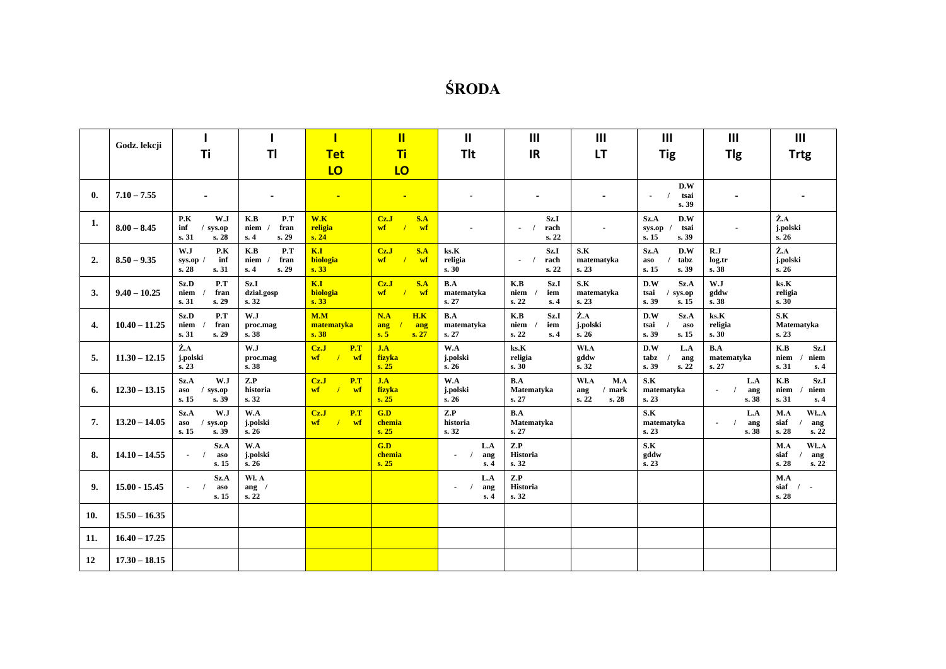## **ŚRODA**

|                | Godz. lekcji    |                                                    |                                            | Π                                                 | $\mathbf{II}$                                    | Ш                                    | $\mathbf{III}$                                        | III                                             | III                                                                | Ш                                               | $\mathbf{III}$                                     |
|----------------|-----------------|----------------------------------------------------|--------------------------------------------|---------------------------------------------------|--------------------------------------------------|--------------------------------------|-------------------------------------------------------|-------------------------------------------------|--------------------------------------------------------------------|-------------------------------------------------|----------------------------------------------------|
|                |                 | Ti                                                 | <b>TI</b>                                  | <b>Tet</b>                                        | Ti                                               | <b>Tlt</b>                           | <b>IR</b>                                             | <b>LT</b>                                       | <b>Tig</b>                                                         | <b>Tlg</b>                                      | <b>Trtg</b>                                        |
|                |                 |                                                    |                                            | LO                                                | LO                                               |                                      |                                                       |                                                 |                                                                    |                                                 |                                                    |
| $\mathbf{0}$ . | $7.10 - 7.55$   | $\blacksquare$                                     | ٠                                          | $\blacksquare$                                    | $\blacksquare$                                   |                                      | $\blacksquare$                                        |                                                 | D.W<br>tsai<br>$\blacksquare$<br>$\overline{\phantom{a}}$<br>s. 39 | ٠                                               |                                                    |
| 1.             | $8.00 - 8.45$   | P.K<br>W.J<br>inf<br>$/$ sys.op<br>s. 31<br>s.28   | K.B<br>P.T<br>fran<br>niem<br>s. 29<br>s.4 | W.K<br>religia<br>s. 24                           | S.A<br>CzJ<br>$\sqrt{ }$<br>$\mathbf{w}$ f<br>wf |                                      | Sz.I<br>rach<br>$\sqrt{ }$<br>$\blacksquare$<br>s. 22 |                                                 | Sz.A<br>D.W<br>sys.op<br>tsai<br>s. 15<br>s. 39                    | $\blacksquare$                                  | Ż.A<br>j.polski<br>s. 26                           |
| 2.             | $8.50 - 9.35$   | W.J<br>P.K<br>inf<br>$sys_op /$<br>s.28<br>s. 31   | K.B<br>P.T<br>fran<br>niem<br>s. 29<br>s.4 | K.I<br>biologia<br>s.33                           | CzJ<br>S.A<br>$\mathbf{w}$ f<br>wf<br>$\prime$   | ks.K<br>religia<br>s.30              | Sz.I<br>rach<br>$\blacksquare$<br>s.22                | S.K<br>matematyka<br>s. 23                      | Sz.A<br>D.W<br>aso<br>tabz<br>s. 15<br>s. 39                       | R.J<br>log.tr<br>s. 38                          | Ż.A<br>j.polski<br>s. 26                           |
| 3.             | $9.40 - 10.25$  | Sz.D<br>P.T<br>niem<br>fran<br>s.31<br>s. 29       | Sz.1<br>dział.gosp<br>s. 32                | K.I<br>biologia<br>s.33                           | CzJ<br>S.A<br>$\mathbf{w}$ f<br>$\sqrt{ }$<br>wf | B.A<br>matematyka<br>s. 27           | Sz.I<br>K.B<br>niem<br>iem<br>s. 22<br>s.4            | S.K<br>matematyka<br>s. 23                      | D.W<br>Sz.A<br>tsai<br>sys.op<br>s. 39<br>s. 15                    | W.J<br>gddw<br>s. 38                            | $\mathbf{k}$ s. $\mathbf{K}$<br>religia<br>s. 30   |
| 4.             | $10.40 - 11.25$ | Sz.D<br>P.T<br>niem<br>fran<br>s. 31<br>s. 29      | W.J<br>proc.mag<br>s. 38                   | M.M<br>matematyka<br>s.38                         | N.A<br>H.K<br>ang<br>ang<br>s.5<br>s.27          | B.A<br>matematyka<br>s. 27           | K.B<br>Sz.I<br>niem<br>iem<br>s. 22<br>s.4            | Ż.A<br>j.polski<br>s.26                         | D.W<br>Sz.A<br>tsai<br>aso<br>s. 39<br>s. 15                       | ks.K<br>religia<br>s.30                         | S.K<br>Matematyka<br>s.23                          |
| 5.             | $11.30 - 12.15$ | $\dot{\mathbf{Z}}.\mathbf{A}$<br>j.polski<br>s. 23 | W.J<br>proc.mag<br>s. 38                   | CzJ<br>P.T<br>$\mathbf{w}$ f<br>wf<br>$\prime$    | J.A<br>fizyka<br>s. 25                           | W.A<br>j.polski<br>s.26              | ks.K<br>religia<br>s.30                               | WI.A<br>gddw<br>s.32                            | D.W<br>L.A<br>tabz<br>ang<br>s. 22<br>s. 39                        | B.A<br>matematyka<br>s. 27                      | K.B<br>Sz.I<br>niem<br>niem<br>s. 31<br>s.4        |
| 6.             | $12.30 - 13.15$ | Sz.A<br>W.J<br>aso<br>$/$ sys.op<br>s.15<br>s. 39  | Z.P<br>historia<br>s.32                    | CzJ<br>P.T<br>$\mathbf{w}$ f<br>wf                | J.A<br>fizyka<br>s. 25                           | W.A<br>j.polski<br>s.26              | B.A<br>Matematyka<br>s. 27                            | WI.A<br>M.A<br>$/$ mark<br>ang<br>s. 22<br>s.28 | S.K<br>matematyka<br>s. 23                                         | L.A<br>ang<br>$\overline{\phantom{a}}$<br>s. 38 | K.B<br>Sz.I<br>niem<br>niem<br>s.31<br>s.4         |
| 7.             | $13.20 - 14.05$ | Sz.A<br>W.J<br>aso<br>$/$ sys.op<br>s. 15<br>s.39  | W.A<br>j.polski<br>s. 26                   | Cz.J<br>P.T<br>$\mathbf{w}$ f<br>$\sqrt{ }$<br>wf | G.D<br>chemia<br>s. 25                           | Z.P<br>historia<br>s.32              | B.A<br>Matematyka<br>s. 27                            |                                                 | S.K<br>matematyka<br>s. 23                                         | L.A<br>ang<br>$\blacksquare$<br>s. 38           | WłA<br>M.A<br>siaf<br>ang<br>s. 28<br>s. 22        |
| 8.             | $14.10 - 14.55$ | Sz.A<br>aso<br>$\sim$ $\sqrt{ }$<br>s. 15          | W.A<br>j.polski<br>s. 26                   |                                                   | G.D<br>chemia<br>s. 25                           | L.A<br>ang<br>$\sim$ $\prime$<br>s.4 | Z.P<br><b>Historia</b><br>s. 32                       |                                                 | S.K<br>gddw<br>s. 23                                               |                                                 | WłA<br>M.A<br>siaf<br>ang<br>s. 28<br>s. 22        |
| 9.             | $15.00 - 15.45$ | Sz.A<br>aso<br>$\sim$ $\sqrt{ }$<br>s. 15          | Wł. A<br>ang $/$<br>s. 22                  |                                                   |                                                  | L.A<br>ang<br>$\sim$<br>s.4          | Z.P<br><b>Historia</b><br>s. 32                       |                                                 |                                                                    |                                                 | M.A<br>siaf<br>$\prime$<br>$\blacksquare$<br>s. 28 |
| 10.            | $15.50 - 16.35$ |                                                    |                                            |                                                   |                                                  |                                      |                                                       |                                                 |                                                                    |                                                 |                                                    |
| 11.            | $16.40 - 17.25$ |                                                    |                                            |                                                   |                                                  |                                      |                                                       |                                                 |                                                                    |                                                 |                                                    |
| 12             | $17.30 - 18.15$ |                                                    |                                            |                                                   |                                                  |                                      |                                                       |                                                 |                                                                    |                                                 |                                                    |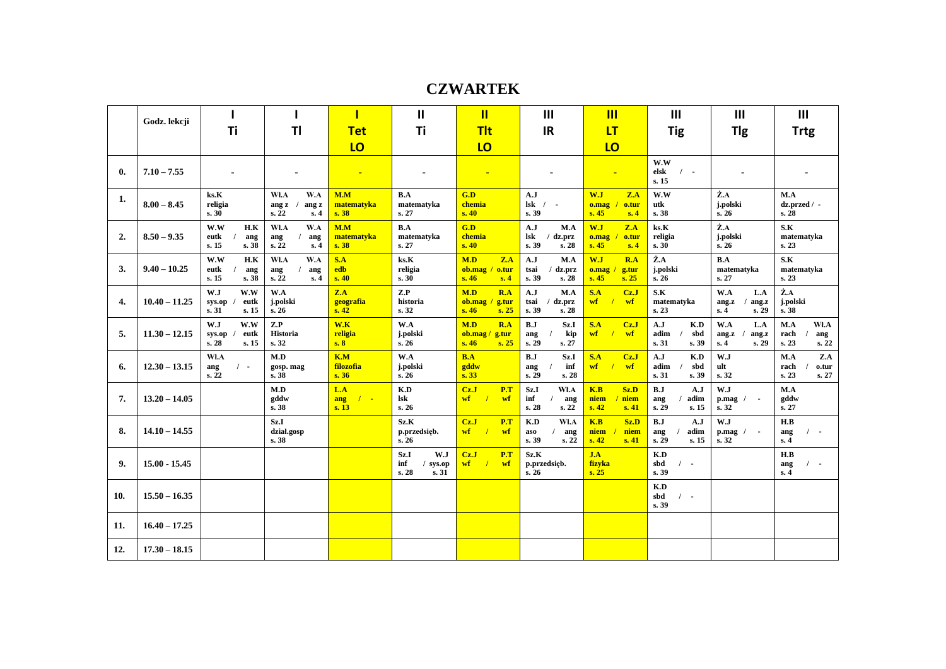**CZWARTEK**

|              | Godz. lekcji    |                                                |                                               |                                   | Ш                                                | п                                                 | III                                                      | $\overline{\mathsf{III}}$                                | III                                              | $\mathbf{III}$                                    | III                                           |
|--------------|-----------------|------------------------------------------------|-----------------------------------------------|-----------------------------------|--------------------------------------------------|---------------------------------------------------|----------------------------------------------------------|----------------------------------------------------------|--------------------------------------------------|---------------------------------------------------|-----------------------------------------------|
|              |                 | Τi                                             | TI                                            | <b>Tet</b>                        | Ti                                               | <b>Tit</b>                                        | <b>IR</b>                                                | LT                                                       | <b>Tig</b>                                       | Tlg                                               | <b>Trtg</b>                                   |
|              |                 |                                                |                                               | LO                                |                                                  | LO                                                |                                                          | LO                                                       |                                                  |                                                   |                                               |
| $\mathbf{0}$ | $7.10 - 7.55$   |                                                |                                               |                                   | $\blacksquare$                                   |                                                   | $\blacksquare$                                           | н                                                        | W.W<br>$\sqrt{ }$<br>elsk<br>s. 15               |                                                   |                                               |
| 1.           | $8.00 - 8.45$   | ks.K<br>religia<br>s.30                        | WI.A<br>W.A<br>ang z<br>ang z<br>s. 22<br>s.4 | M.M<br>matematyka<br>s.38         | B.A<br>matematyka<br>s. 27                       | G.D<br>chemia<br>s.40                             | A.J<br>$\bf{lsk}$<br>$\prime$ .<br>s. 39                 | W.J<br>Z.A<br>o.tur<br>o.mag<br>s.45<br>s.4              | W.W<br>utk<br>s. 38                              | Ż.A<br>j.polski<br>s. 26                          | M.A<br>dz.przed / -<br>s.28                   |
| 2.           | $8.50 - 9.35$   | W.W<br>H.K<br>eutk<br>ang<br>s. 38<br>s.15     | WI.A<br>W.A<br>ang<br>ang<br>s. 22<br>s.4     | M.M<br>matematyka<br>s.38         | B.A<br>matematyka<br>s. 27                       | G.D<br>chemia<br>s.40                             | A.J<br>M.A<br>$\bf{lsk}$<br>$/dz$ .prz<br>s. 39<br>s. 28 | W.J<br>Z.A<br>o.mag<br>o.tur<br>s.45<br>s.4              | $\mathbf{k}$ s. $\mathbf{K}$<br>religia<br>s. 30 | Ż.A<br>j.polski<br>s. 26                          | S.K<br>matematyka<br>s. 23                    |
| 3.           | $9.40 - 10.25$  | W.W<br>H.K<br>eutk<br>ang<br>s. 15<br>s. 38    | WI.A<br>W.A<br>ang<br>ang<br>s. 22<br>s.4     | S.A<br>edb<br>s.40                | ks.K<br>religia<br>s.30                          | M.D<br>Z.A<br>ob.mac / out<br>s.46<br>s.4         | A.J<br>M.A<br>tsai<br>dz.prz<br>s.39<br>s. 28            | W.J<br>R.A<br>$0.\text{mag}$ /<br>g.tur<br>s.45<br>s. 25 | $\dot{Z}$ .A<br>j.polski<br>s.26                 | B.A<br>matematyka<br>s. 27                        | S.K<br>matematyka<br>s. 23                    |
| 4.           | $10.40 - 11.25$ | W.J<br>W.W<br>eutk<br>sys.op<br>s. 31<br>s. 15 | W.A<br>j.polski<br>s. 26                      | Z.A<br>geografia<br>s.42          | Z.P<br>historia<br>s. 32                         | M.D<br>R.A<br>$ob\_{mag}$ / g.tur<br>s.46<br>s.25 | A.J<br>M.A<br>tsai<br>dz.prz<br>s.39<br>s. 28            | S.A<br>CzJ<br>wf<br>wf                                   | S.K<br>matematyka<br>s. 23                       | W.A<br>L.A<br>ang.z<br>ang.z<br>s.4<br>s. 29      | Ż.A<br>j.polski<br>s. 38                      |
| 5.           | $11.30 - 12.15$ | W.W<br>W.J<br>eutk<br>sys.op<br>s.28<br>s. 15  | Z.P<br><b>Historia</b><br>s.32                | W.K<br>religia<br>s.8             | W.A<br>j.polski<br>s.26                          | R.A<br>M.D<br>ob.mac/<br>g.tur<br>s.46<br>s.25    | B.J<br>Sz.I<br>kip<br>ang<br>s. 29<br>s. 27              | S.A<br>Cz.J<br>wf<br>$\overline{1}$<br>wf                | A.J<br>K.D<br>adim<br>sbd<br>s. 39<br>s.31       | W.A<br>L.A<br>ang.z<br>ang.z<br>s. 29<br>s.4      | M.A<br>Wł.A<br>rach<br>ang<br>s. 23<br>s. 22  |
| 6.           | $12.30 - 13.15$ | Wł.A<br>$\prime$ -<br>ang<br>s. 22             | M.D<br>gosp. mag<br>s. 38                     | K.M<br>filozofia<br>s.36          | W.A<br>j.polski<br>s.26                          | B.A<br>gddw<br>s.33                               | B.J<br>Sz.I<br>inf<br>ang<br>s. 29<br>s. 28              | S.A<br>Cz.J<br>wf<br>$\overline{1}$<br>wf                | A.J<br>K.D<br>adim<br>sbd<br>s.31<br>s. 39       | W.J<br>ult<br>s. 32                               | M.A<br>Z.A<br>rach<br>o.tur<br>s. 23<br>s. 27 |
| 7.           | $13.20 - 14.05$ |                                                | M.D<br>gddw<br>s. 38                          | L.A<br>$\sqrt{2}$<br>ang<br>s. 13 | K.D<br>lsk<br>s. 26                              | CzJ<br>P.T<br>$\mathbf{w}$ f<br>wf                | Sz.I<br>WI.A<br>inf<br>ang<br>s. 28<br>s. 22             | Sz.D<br>K.B<br>niem<br>niem<br>s.42<br>s.41              | B.J<br>A.J<br>adim<br>ang<br>s. 29<br>s. 15      | W.J<br>$p \cdot mag$ /<br>$\blacksquare$<br>s. 32 | M.A<br>gddw<br>s. 27                          |
| 8.           | $14.10 - 14.55$ |                                                | Sz.I<br>dział.gosp<br>s. 38                   |                                   | Sz.K<br>p.przedsięb.<br>s.26                     | CzJ<br>P.T<br>wf<br>$\sqrt{ }$<br>wf              | K.D<br>WI.A<br>aso<br>ang<br>s.39<br>s.22                | Sz.D<br>K.B<br>niem<br>niem<br>s.42<br>s.41              | B.J<br>A.J<br>adim<br>ang<br>s. 29<br>s. 15      | W.J<br>$p \cdot mag$ /<br>$\blacksquare$<br>s. 32 | H.B<br>$\sqrt{ }$<br>ang<br>s.4               |
| 9.           | $15.00 - 15.45$ |                                                |                                               |                                   | W.J<br>Sz.I<br>inf<br>/ sys.op<br>s. 28<br>s. 31 | CzJ<br>P.T<br>$\mathbf{w}$ f<br>wf                | Sz.K<br>p.przedsięb.<br>s.26                             | J.A<br>fizyka<br>s.25                                    | K.D<br>sbd<br>$\sqrt{ }$<br>s. 39                |                                                   | H.B<br>$\sqrt{ }$<br>ang<br>s.4               |
| 10.          | $15.50 - 16.35$ |                                                |                                               |                                   |                                                  |                                                   |                                                          |                                                          | K.D<br>sbd<br>$\prime$ .<br>s. 39                |                                                   |                                               |
| 11.          | $16.40 - 17.25$ |                                                |                                               |                                   |                                                  |                                                   |                                                          |                                                          |                                                  |                                                   |                                               |
| 12.          | $17.30 - 18.15$ |                                                |                                               |                                   |                                                  |                                                   |                                                          |                                                          |                                                  |                                                   |                                               |